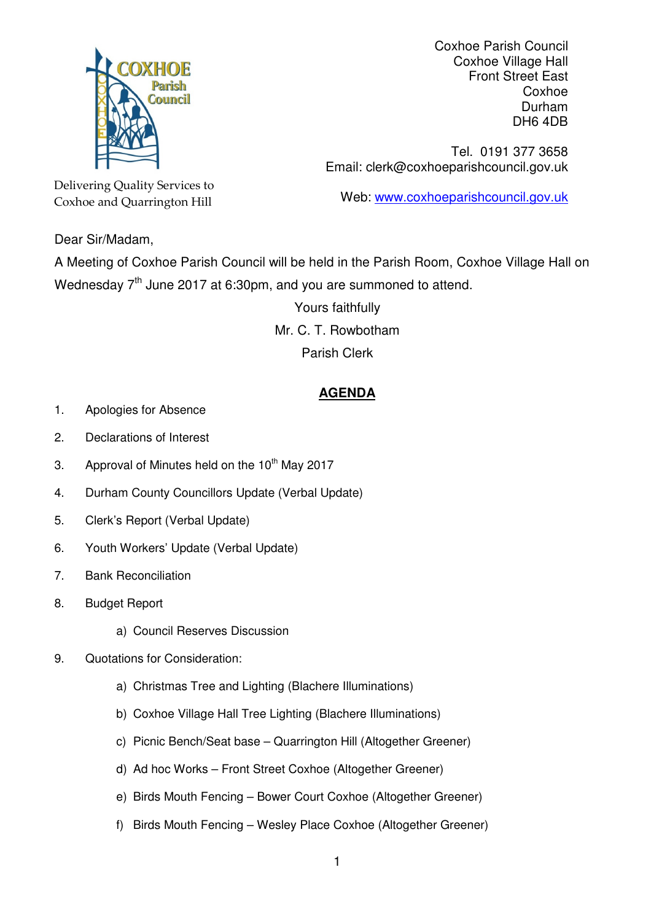

Coxhoe Parish Council Coxhoe Village Hall Front Street East Coxhoe Durham DH6 4DB

Tel. 0191 377 3658 Email: clerk@coxhoeparishcouncil.gov.uk

Web: www.coxhoeparishcouncil.gov.uk

Delivering Quality Services to Coxhoe and Quarrington Hill

Dear Sir/Madam,

A Meeting of Coxhoe Parish Council will be held in the Parish Room, Coxhoe Village Hall on Wednesday 7<sup>th</sup> June 2017 at 6:30pm, and you are summoned to attend.

> Yours faithfully Mr. C. T. Rowbotham Parish Clerk

## **AGENDA**

- 1. Apologies for Absence
- 2. Declarations of Interest
- 3. Approval of Minutes held on the  $10<sup>th</sup>$  May 2017
- 4. Durham County Councillors Update (Verbal Update)
- 5. Clerk's Report (Verbal Update)
- 6. Youth Workers' Update (Verbal Update)
- 7. Bank Reconciliation
- 8. Budget Report
	- a) Council Reserves Discussion
- 9. Quotations for Consideration:
	- a) Christmas Tree and Lighting (Blachere Illuminations)
	- b) Coxhoe Village Hall Tree Lighting (Blachere Illuminations)
	- c) Picnic Bench/Seat base Quarrington Hill (Altogether Greener)
	- d) Ad hoc Works Front Street Coxhoe (Altogether Greener)
	- e) Birds Mouth Fencing Bower Court Coxhoe (Altogether Greener)
	- f) Birds Mouth Fencing Wesley Place Coxhoe (Altogether Greener)